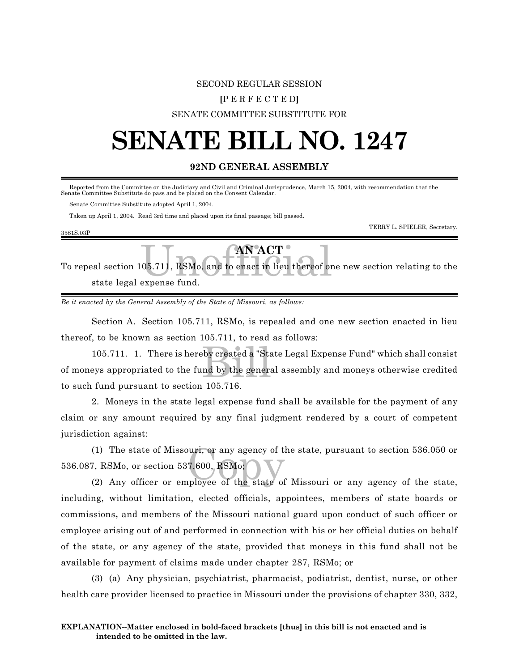# SECOND REGULAR SESSION

#### **[**P E R F E C T E D**]**

### SENATE COMMITTEE SUBSTITUTE FOR

# **SENATE BILL NO. 1247**

# **92ND GENERAL ASSEMBLY**

 Reported from the Committee on the Judiciary and Civil and Criminal Jurisprudence, March 15, 2004, with recommendation that the Senate Committee Substitute do pass and be placed on the Consent Calendar.

Senate Committee Substitute adopted April 1, 2004.

3581S.03P

Taken up April 1, 2004. Read 3rd time and placed upon its final passage; bill passed.

TERRY L. SPIELER, Secretary.

| To repeal section 105.711, RSMo, and to enact in lieu thereof one new section relating to the |
|-----------------------------------------------------------------------------------------------|
| state legal expense fund.                                                                     |

*Be it enacted by the General Assembly of the State of Missouri, as follows:*

Section A. Section 105.711, RSMo, is repealed and one new section enacted in lieu thereof, to be known as section 105.711, to read as follows:

105.711. 1. There is hereby created a "State Legal Expense Fund" which shall consist<br>eys appropriated to the fund by the general assembly and moneys otherwise credited<br>for a numeral to section 105.716. of moneys appropriated to the fund by the general assembly and moneys otherwise credited to such fund pursuant to section 105.716.

2. Moneys in the state legal expense fund shall be available for the payment of any claim or any amount required by any final judgment rendered by a court of competent jurisdiction against:

(1) The state of Missouri, or any agency of the state, pursuant to section 536.050 or<br>
7, RSMo, or section 537.600, RSMo;<br>
(2) Any officer or employee of the state of Missouri or any agency of the state, (1) The state of Missouri, or any agency of the state, pursuant to section 536.050 or 536.087, RSMo, or section 537.600, RSMo;

including, without limitation, elected officials, appointees, members of state boards or commissions**,** and members of the Missouri national guard upon conduct of such officer or employee arising out of and performed in connection with his or her official duties on behalf of the state, or any agency of the state, provided that moneys in this fund shall not be available for payment of claims made under chapter 287, RSMo; or

(3) (a) Any physician, psychiatrist, pharmacist, podiatrist, dentist, nurse**,** or other health care provider licensed to practice in Missouri under the provisions of chapter 330, 332,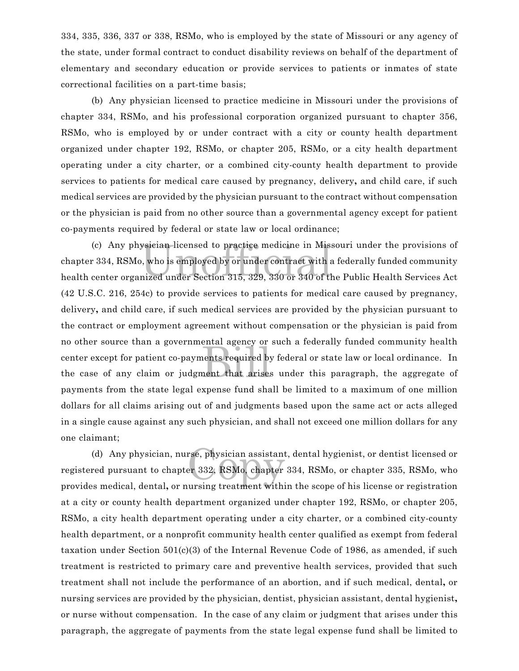334, 335, 336, 337 or 338, RSMo, who is employed by the state of Missouri or any agency of the state, under formal contract to conduct disability reviews on behalf of the department of elementary and secondary education or provide services to patients or inmates of state correctional facilities on a part-time basis;

(b) Any physician licensed to practice medicine in Missouri under the provisions of chapter 334, RSMo, and his professional corporation organized pursuant to chapter 356, RSMo, who is employed by or under contract with a city or county health department organized under chapter 192, RSMo, or chapter 205, RSMo, or a city health department operating under a city charter, or a combined city-county health department to provide services to patients for medical care caused by pregnancy, delivery**,** and child care, if such medical services are provided by the physician pursuant to the contract without compensation or the physician is paid from no other source than a governmental agency except for patient co-payments required by federal or state law or local ordinance;

ysician licensed to practice medicine in Miss<br>, who is employed by or under contract with a<br>nized under Section 315, 329, 330 or 340 of th endar agency of<br>nents required by<br>ment that arises (c) Any physician licensed to practice medicine in Missouri under the provisions of chapter 334, RSMo, who is employed by or under contract with a federally funded community health center organized under Section 315, 329, 330 or 340 of the Public Health Services Act (42 U.S.C. 216, 254c) to provide services to patients for medical care caused by pregnancy, delivery**,** and child care, if such medical services are provided by the physician pursuant to the contract or employment agreement without compensation or the physician is paid from no other source than a governmental agency or such a federally funded community health center except for patient co-payments required by federal or state law or local ordinance. In the case of any claim or judgment that arises under this paragraph, the aggregate of payments from the state legal expense fund shall be limited to a maximum of one million dollars for all claims arising out of and judgments based upon the same act or acts alleged in a single cause against any such physician, and shall not exceed one million dollars for any one claimant;

rse, physician assistant<br>er 332, RSMo, chapter<br>ursing treatment withi (d) Any physician, nurse, physician assistant, dental hygienist, or dentist licensed or registered pursuant to chapter 332, RSMo, chapter 334, RSMo, or chapter 335, RSMo, who provides medical, dental**,** or nursing treatment within the scope of his license or registration at a city or county health department organized under chapter 192, RSMo, or chapter 205, RSMo, a city health department operating under a city charter, or a combined city-county health department, or a nonprofit community health center qualified as exempt from federal taxation under Section 501(c)(3) of the Internal Revenue Code of 1986, as amended, if such treatment is restricted to primary care and preventive health services, provided that such treatment shall not include the performance of an abortion, and if such medical, dental**,** or nursing services are provided by the physician, dentist, physician assistant, dental hygienist**,** or nurse without compensation. In the case of any claim or judgment that arises under this paragraph, the aggregate of payments from the state legal expense fund shall be limited to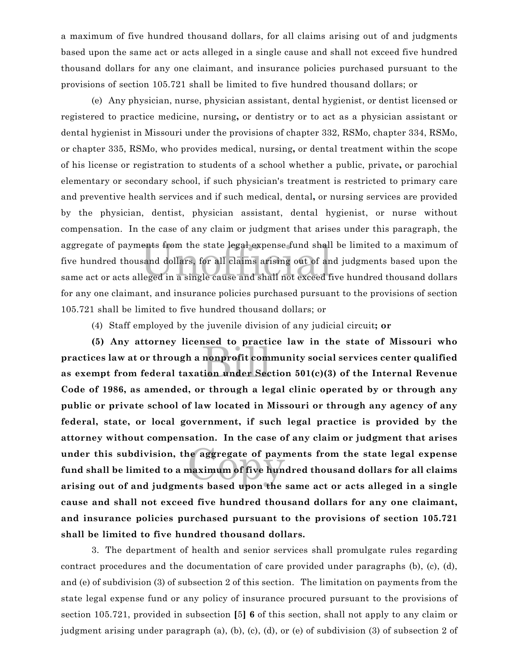a maximum of five hundred thousand dollars, for all claims arising out of and judgments based upon the same act or acts alleged in a single cause and shall not exceed five hundred thousand dollars for any one claimant, and insurance policies purchased pursuant to the provisions of section 105.721 shall be limited to five hundred thousand dollars; or

ents from the state legal expense fund shall<br>sand dollars, for all claims arising out of an<br>leged in a single cause and shall not exceed f (e) Any physician, nurse, physician assistant, dental hygienist, or dentist licensed or registered to practice medicine, nursing**,** or dentistry or to act as a physician assistant or dental hygienist in Missouri under the provisions of chapter 332, RSMo, chapter 334, RSMo, or chapter 335, RSMo, who provides medical, nursing**,** or dental treatment within the scope of his license or registration to students of a school whether a public, private**,** or parochial elementary or secondary school, if such physician's treatment is restricted to primary care and preventive health services and if such medical, dental**,** or nursing services are provided by the physician, dentist, physician assistant, dental hygienist, or nurse without compensation. In the case of any claim or judgment that arises under this paragraph, the aggregate of payments from the state legal expense fund shall be limited to a maximum of five hundred thousand dollars, for all claims arising out of and judgments based upon the same act or acts alleged in a single cause and shall not exceed five hundred thousand dollars for any one claimant, and insurance policies purchased pursuant to the provisions of section 105.721 shall be limited to five hundred thousand dollars; or

(4) Staff employed by the juvenile division of any judicial circuit**; or**

nonprofit com e aggregate of payr<br>naximum of five hun<br>nts based upon the **(5) Any attorney licensed to practice law in the state of Missouri who practices law at or through a nonprofit community social services center qualified as exempt from federal taxation under Section 501(c)(3) of the Internal Revenue Code of 1986, as amended, or through a legal clinic operated by or through any public or private school of law located in Missouri or through any agency of any federal, state, or local government, if such legal practice is provided by the attorney without compensation. In the case of any claim or judgment that arises under this subdivision, the aggregate of payments from the state legal expense fund shall be limited to a maximum of five hundred thousand dollars for all claims arising out of and judgments based upon the same act or acts alleged in a single cause and shall not exceed five hundred thousand dollars for any one claimant, and insurance policies purchased pursuant to the provisions of section 105.721 shall be limited to five hundred thousand dollars.**

3. The department of health and senior services shall promulgate rules regarding contract procedures and the documentation of care provided under paragraphs (b), (c), (d), and (e) of subdivision (3) of subsection 2 of this section. The limitation on payments from the state legal expense fund or any policy of insurance procured pursuant to the provisions of section 105.721, provided in subsection **[**5**] 6** of this section, shall not apply to any claim or judgment arising under paragraph (a), (b), (c), (d), or (e) of subdivision (3) of subsection 2 of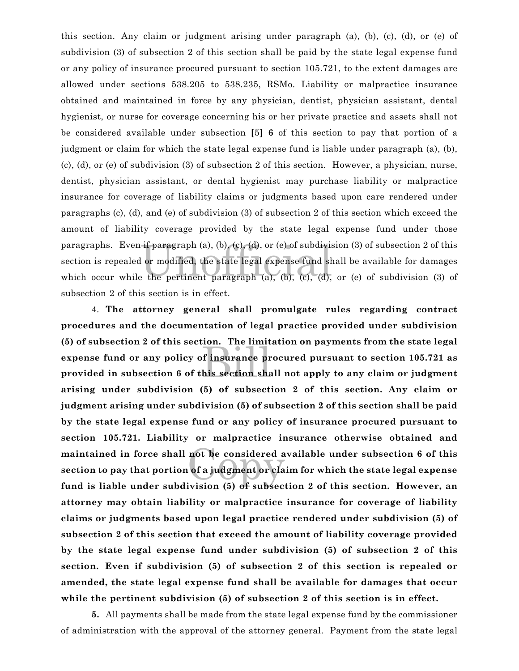paragraphs. Even if paragraph (a), (b), (c), (d), or (e) of subdivision (3) of subsection 2 of this<br>section is repealed or modified, the state legal expense fund shall be available for damages<br>which occur while the pertine this section. Any claim or judgment arising under paragraph (a), (b), (c), (d), or (e) of subdivision (3) of subsection 2 of this section shall be paid by the state legal expense fund or any policy of insurance procured pursuant to section 105.721, to the extent damages are allowed under sections 538.205 to 538.235, RSMo. Liability or malpractice insurance obtained and maintained in force by any physician, dentist, physician assistant, dental hygienist, or nurse for coverage concerning his or her private practice and assets shall not be considered available under subsection **[**5**] 6** of this section to pay that portion of a judgment or claim for which the state legal expense fund is liable under paragraph (a), (b), (c), (d), or (e) of subdivision (3) of subsection 2 of this section. However, a physician, nurse, dentist, physician assistant, or dental hygienist may purchase liability or malpractice insurance for coverage of liability claims or judgments based upon care rendered under paragraphs (c), (d), and (e) of subdivision (3) of subsection 2 of this section which exceed the amount of liability coverage provided by the state legal expense fund under those paragraphs. Even if paragraph (a), (b), (c), (d), or (e) of subdivision (3) of subsection 2 of this section is repealed or modified, the state legal expense fund shall be available for damages subsection 2 of this section is in effect.

on. The Hime<br>of insurance pr<br>his section sha not be considered a<br>of a judgment or cla 4. **The attorney general shall promulgate rules regarding contract procedures and the documentation of legal practice provided under subdivision (5) of subsection 2 of this section. The limitation on payments from the state legal expense fund or any policy of insurance procured pursuant to section 105.721 as provided in subsection 6 of this section shall not apply to any claim or judgment arising under subdivision (5) of subsection 2 of this section. Any claim or judgment arising under subdivision (5) of subsection 2 of this section shall be paid by the state legal expense fund or any policy of insurance procured pursuant to section 105.721. Liability or malpractice insurance otherwise obtained and maintained in force shall not be considered available under subsection 6 of this section to pay that portion of a judgment or claim for which the state legal expense fund is liable under subdivision (5) of subsection 2 of this section. However, an attorney may obtain liability or malpractice insurance for coverage of liability claims or judgments based upon legal practice rendered under subdivision (5) of subsection 2 of this section that exceed the amount of liability coverage provided by the state legal expense fund under subdivision (5) of subsection 2 of this section. Even if subdivision (5) of subsection 2 of this section is repealed or amended, the state legal expense fund shall be available for damages that occur while the pertinent subdivision (5) of subsection 2 of this section is in effect.**

**5.** All payments shall be made from the state legal expense fund by the commissioner of administration with the approval of the attorney general. Payment from the state legal